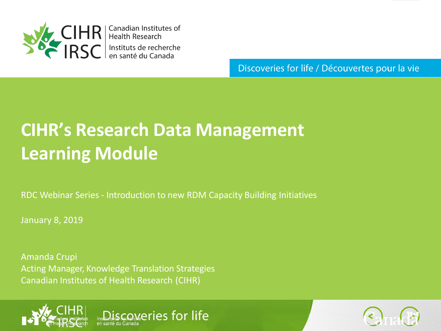

**CIHR** Anadian Institutes of<br> **IRSC** Instituts de recherche<br>
IRSC Instituts de recherche

Discoveries for life / Découvertes pour la vie

# **CIHR's Research Data Management Learning Module**

RDC Webinar Series - Introduction to new RDM Capacity Building Initiatives

iscoveries for life

January 8, 2019

Amanda Crupi Acting Manager, Knowledge Translation Strategies Canadian Institutes of Health Research (CIHR)



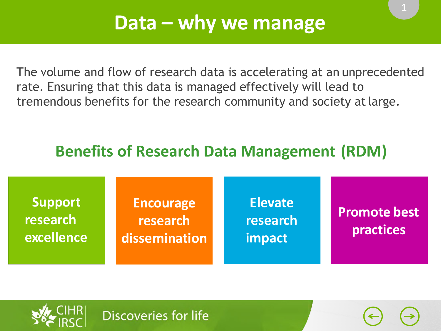**1**

The volume and flow of research data is accelerating at an unprecedented rate. Ensuring that this data is managed effectively will lead to tremendous benefits for the research community and society atlarge.

### **Benefits of Research Data Management (RDM)**

| Support<br>research<br>excellence | <b>Encourage</b><br>research<br>dissemination | <b>Elevate</b><br>research<br>impact | <b>Promote best</b><br>practices |
|-----------------------------------|-----------------------------------------------|--------------------------------------|----------------------------------|
|                                   |                                               |                                      |                                  |

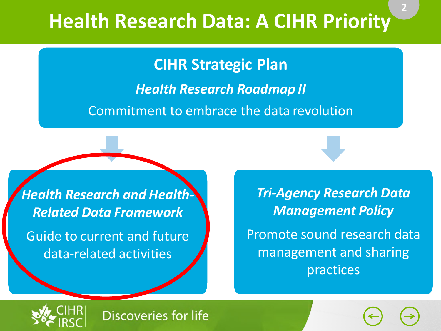# **Health Research Data: A CIHR Priority**

**CIHR Strategic Plan**

*Health Research Roadmap II*

Commitment to embrace the data revolution

*Health Research and Health-Related Data Framework* Guide to current and future data-related activities

*Tri-Agency Research Data Management Policy* Promote sound research data management and sharing practices

**2**

**2**

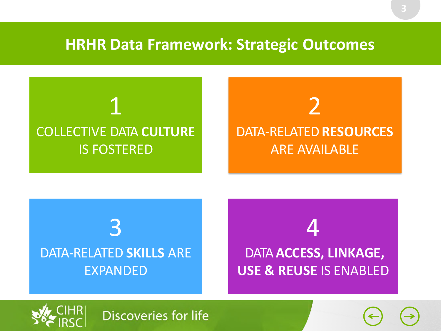### **HRHR Data Framework: Strategic Outcomes**









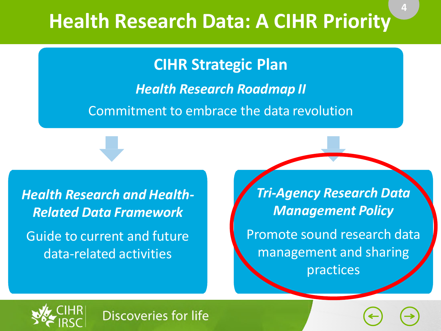# **Health Research Data: A CIHR Priority**

**CIHR Strategic Plan**

*Health Research Roadmap II*

Commitment to embrace the data revolution

*Health Research and Health-Related Data Framework* Guide to current and future data-related activities

*Tri-Agency Research Data Management Policy* Promote sound research data management and sharing practices

**2**

**4**

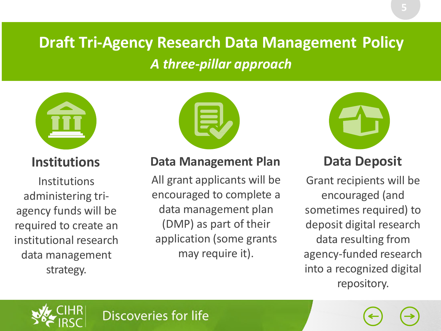### **Draft Tri-Agency Research Data Management Policy** *A three-pillar approach*



**Institutions**

**Institutions** administering triagency funds will be required to create an institutional research data management strategy.



### **Data Management Plan**

All grant applicants will be encouraged to complete a data management plan (DMP) as part of their application (some grants may require it).



### **Data Deposit**

Grant recipients will be encouraged (and sometimes required) to deposit digital research data resulting from agency-funded research into a recognized digital repository.

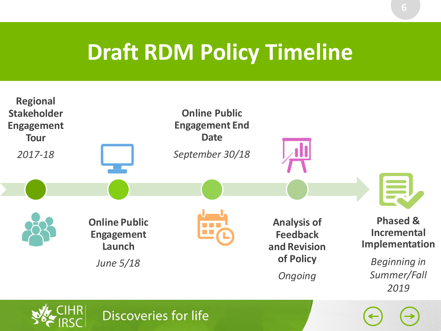# **Draft RDM Policy Timeline**

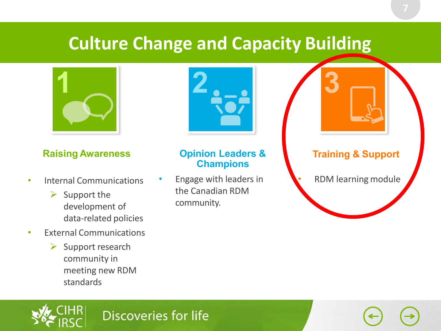## **Culture Change and Capacity Building**



### **Raising Awareness Copinion Leaders & Training & Support**

- Internal Communications
	- $\triangleright$  Support the development of data-related policies
- External Communications
	- $\triangleright$  Support research community in meeting new RDM standards



### **Opinion Leaders & Champions**

• Engage with leaders in the Canadian RDM community.

• RDM learning module

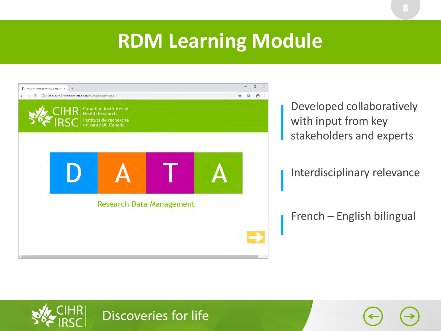## **RDM Learning Module**



Developed collaboratively with input from key stakeholders and experts

Interdisciplinary relevance

French – English bilingual



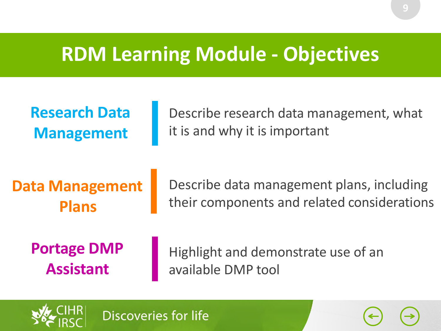## **RDM Learning Module - Objectives**

| <b>Research Data</b>   | Describe research data management, what     |
|------------------------|---------------------------------------------|
| <b>Management</b>      | it is and why it is important               |
| <b>Data Management</b> | Describe data management plans, including   |
| <b>Plans</b>           | their components and related considerations |
| <b>Portage DMP</b>     | Highlight and demonstrate use of an         |
| <b>Assistant</b>       | available DMP tool                          |

**Discoveries for life** 



**9**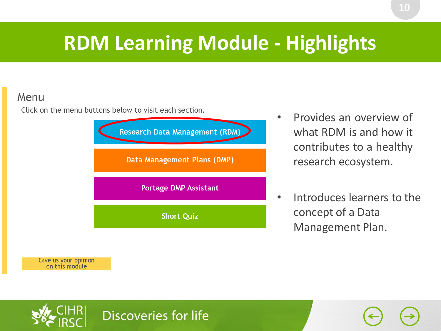## **RDM Learning Module - Highlights**

### Menu

Click on the menu buttons below to visit each section.



- Provides an overview of what RDM is and how it contributes to a healthy research ecosystem.
- Introduces learners to the concept of a Data Management Plan.

Give us your opinion<br>on this module

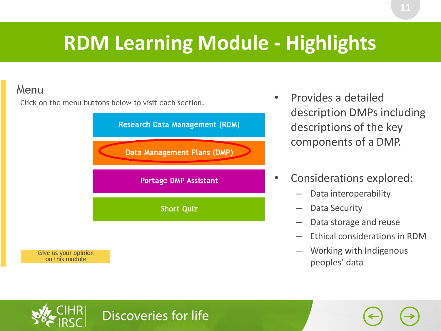## **RDM Learning Module - Highlights**

### Menu

Click on the menu buttons below to visit each section.



- Provides a detailed description DMPs including descriptions of the key components of a DMP.
- Considerations explored:
	- Data interoperability
	- Data Security
	- Data storage and reuse
	- Ethical considerations in RDM
	- Working with Indigenous peoples' data

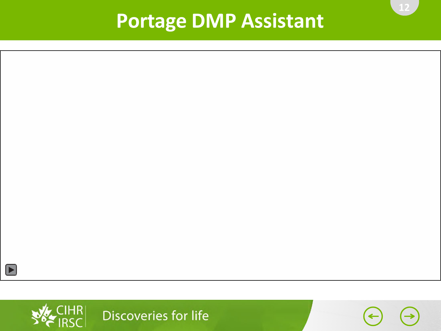## **Portage DMP Assistant**



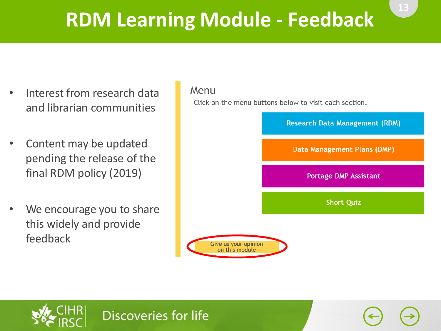# **RDM Learning Module - Feedback**

- Interest from research data and librarian communities
- Content may be updated pending the release of the final RDM policy (2019)
- We encourage you to share this widely and provide feedback